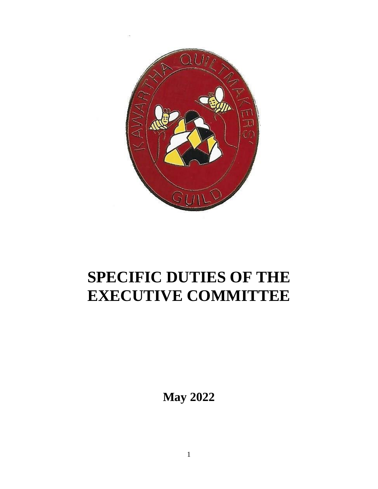

# **SPECIFIC DUTIES OF THE EXECUTIVE COMMITTEE**

**May 2022**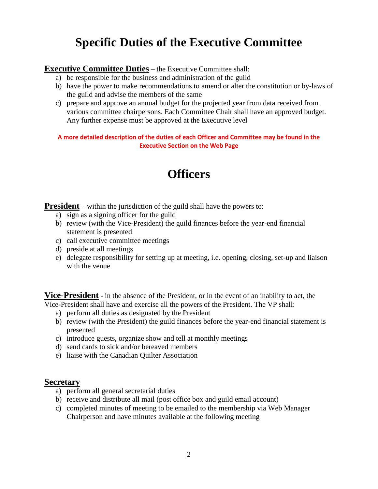# **Specific Duties of the Executive Committee**

#### **Executive Committee Duties** – the Executive Committee shall:

- a) be responsible for the business and administration of the guild
- b) have the power to make recommendations to amend or alter the constitution or by-laws of the guild and advise the members of the same
- c) prepare and approve an annual budget for the projected year from data received from various committee chairpersons. Each Committee Chair shall have an approved budget. Any further expense must be approved at the Executive level

**A more detailed description of the duties of each Officer and Committee may be found in the Executive Section on the Web Page**

# **Officers**

**President** – within the jurisdiction of the guild shall have the powers to:

- a) sign as a signing officer for the guild
- b) review (with the Vice-President) the guild finances before the year-end financial statement is presented
- c) call executive committee meetings
- d) preside at all meetings
- e) delegate responsibility for setting up at meeting, i.e. opening, closing, set-up and liaison with the venue

**Vice-President** - in the absence of the President, or in the event of an inability to act, the Vice-President shall have and exercise all the powers of the President. The VP shall:

- a) perform all duties as designated by the President
- b) review (with the President) the guild finances before the year-end financial statement is presented
- c) introduce guests, organize show and tell at monthly meetings
- d) send cards to sick and/or bereaved members
- e) liaise with the Canadian Quilter Association

#### **Secretary**

- a) perform all general secretarial duties
- b) receive and distribute all mail (post office box and guild email account)
- c) completed minutes of meeting to be emailed to the membership via Web Manager Chairperson and have minutes available at the following meeting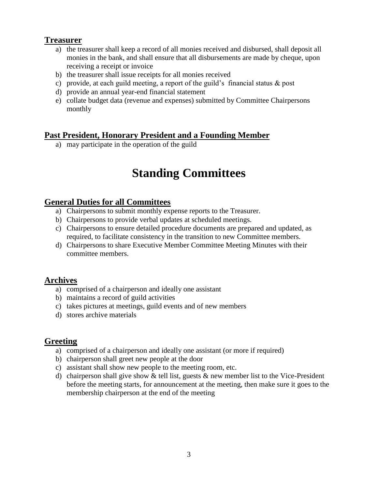#### **Treasurer**

- a) the treasurer shall keep a record of all monies received and disbursed, shall deposit all monies in the bank, and shall ensure that all disbursements are made by cheque, upon receiving a receipt or invoice
- b) the treasurer shall issue receipts for all monies received
- c) provide, at each guild meeting, a report of the guild's financial status & post
- d) provide an annual year-end financial statement
- e) collate budget data (revenue and expenses) submitted by Committee Chairpersons monthly

## **Past President, Honorary President and a Founding Member**

a) may participate in the operation of the guild

# **Standing Committees**

#### **General Duties for all Committees**

- a) Chairpersons to submit monthly expense reports to the Treasurer.
- b) Chairpersons to provide verbal updates at scheduled meetings.
- c) Chairpersons to ensure detailed procedure documents are prepared and updated, as required, to facilitate consistency in the transition to new Committee members.
- d) Chairpersons to share Executive Member Committee Meeting Minutes with their committee members.

## **Archives**

- a) comprised of a chairperson and ideally one assistant
- b) maintains a record of guild activities
- c) takes pictures at meetings, guild events and of new members
- d) stores archive materials

#### **Greeting**

- a) comprised of a chairperson and ideally one assistant (or more if required)
- b) chairperson shall greet new people at the door
- c) assistant shall show new people to the meeting room, etc.
- d) chairperson shall give show & tell list, guests & new member list to the Vice-President before the meeting starts, for announcement at the meeting, then make sure it goes to the membership chairperson at the end of the meeting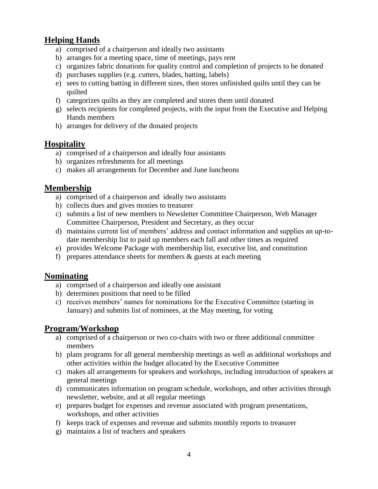### **Helping Hands**

- a) comprised of a chairperson and ideally two assistants
- b) arranges for a meeting space, time of meetings, pays rent
- c) organizes fabric donations for quality control and completion of projects to be donated
- d) purchases supplies (e.g. cutters, blades, batting, labels)
- e) sees to cutting batting in different sizes, then stores unfinished quilts until they can be quilted
- f) categorizes quilts as they are completed and stores them until donated
- g) selects recipients for completed projects, with the input from the Executive and Helping Hands members
- h) arranges for delivery of the donated projects

#### **Hospitality**

- a) comprised of a chairperson and ideally four assistants
- b) organizes refreshments for all meetings
- c) makes all arrangements for December and June luncheons

### **Membership**

- a) comprised of a chairperson and ideally two assistants
- b) collects dues and gives monies to treasurer
- c) submits a list of new members to Newsletter Committee Chairperson, Web Manager Committee Chairperson, President and Secretary, as they occur
- d) maintains current list of members' address and contact information and supplies an up-todate membership list to paid up members each fall and other times as required
- e) provides Welcome Package with membership list, executive list, and constitution
- f) prepares attendance sheets for members  $\&$  guests at each meeting

#### **Nominating**

- a) comprised of a chairperson and ideally one assistant
- b) determines positions that need to be filled
- c) receives members' names for nominations for the Executive Committee (starting in January) and submits list of nominees, at the May meeting, for voting

#### **Program/Workshop**

- a) comprised of a chairperson or two co-chairs with two or three additional committee members
- b) plans programs for all general membership meetings as well as additional workshops and other activities within the budget allocated by the Executive Committee
- c) makes all arrangements for speakers and workshops, including introduction of speakers at general meetings
- d) communicates information on program schedule, workshops, and other activities through newsletter, website, and at all regular meetings
- e) prepares budget for expenses and revenue associated with program presentations, workshops, and other activities
- f) keeps track of expenses and revenue and submits monthly reports to treasurer
- g) maintains a list of teachers and speakers